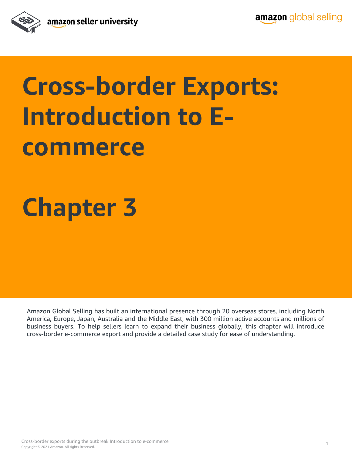

## **Cross-border Exports: Introduction to Ecommerce**

### **Chapter 3**

Amazon Global Selling has built an international presence through 20 overseas stores, including North America, Europe, Japan, Australia and the Middle East, with 300 million active accounts and millions of business buyers. To help sellers learn to expand their business globally, this chapter will introduce cross-border e-commerce export and provide a detailed case study for ease of understanding.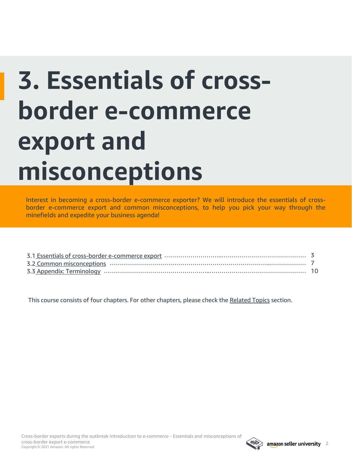# **3. Essentials of crossborder e-commerce export and misconceptions**

Interest in becoming a cross-border e-commerce exporter? We will introduce the essentials of crossborder e-commerce export and common misconceptions, to help you pick your way through the minefields and expedite your business agenda!

This course consists of four chapters. For other chapters, please check the [Related Topics](#page-10-0) section.

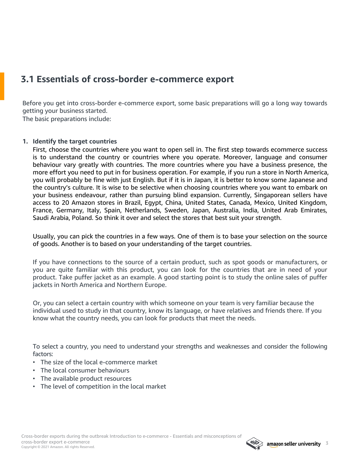### <span id="page-2-0"></span>**3.1 Essentials of cross-border e-commerce export**

Before you get into cross-border e-commerce export, some basic preparations will go a long way towards getting your business started.

The basic preparations include:

#### **1. Identify the target countries**

First, choose the countries where you want to open sell in. The first step towards ecommerce success is to understand the country or countries where you operate. Moreover, language and consumer behaviour vary greatly with countries. The more countries where you have a business presence, the more effort you need to put in for business operation. For example, if you run a store in North America, you will probably be fine with just English. But if it is in Japan, it is better to know some Japanese and the country's culture. It is wise to be selective when choosing countries where you want to embark on your business endeavour, rather than pursuing blind expansion. Currently, Singaporean sellers have access to 20 Amazon stores in Brazil, Egypt, China, United States, Canada, Mexico, United Kingdom, France, Germany, Italy, Spain, Netherlands, Sweden, Japan, Australia, India, United Arab Emirates, Saudi Arabia, Poland. So think it over and select the stores that best suit your strength.

Usually, you can pick the countries in a few ways. One of them is to base your selection on the source of goods. Another is to based on your understanding of the target countries.

If you have connections to the source of a certain product, such as spot goods or manufacturers, or you are quite familiar with this product, you can look for the countries that are in need of your product. Take puffer jacket as an example. A good starting point is to study the online sales of puffer jackets in North America and Northern Europe.

Or, you can select a certain country with which someone on your team is very familiar because the individual used to study in that country, know its language, or have relatives and friends there. If you know what the country needs, you can look for products that meet the needs.

To select a country, you need to understand your strengths and weaknesses and consider the following factors:

- The size of the local e-commerce market
- The local consumer behaviours
- The available product resources
- The level of competition in the local market

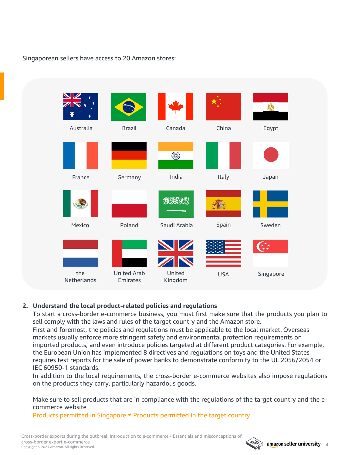### Singaporean sellers have access to 20 Amazon stores:



#### **2. Understand the local product-related policies and regulations**

To start a cross-border e-commerce business, you must first make sure that the products you plan to sell comply with the laws and rules of the target country and the Amazon store. First and foremost, the policies and regulations must be applicable to the local market. Overseas markets usually enforce more stringent safety and environmental protection requirements on imported products, and even introduce policies targeted at different product categories. For example, the European Union has implemented 8 directives and regulations on toys and the United States requires test reports for the sale of power banks to demonstrate conformity to the UL 2056/2054 or IEC 60950-1 standards.

In addition to the local requirements, the cross-border e-commerce websites also impose regulations on the products they carry, particularly hazardous goods.

Make sure to sell products that are in compliance with the regulations of the target country and the ecommerce website

Products permitted in Singapore  $≠$  Products permitted in the target country

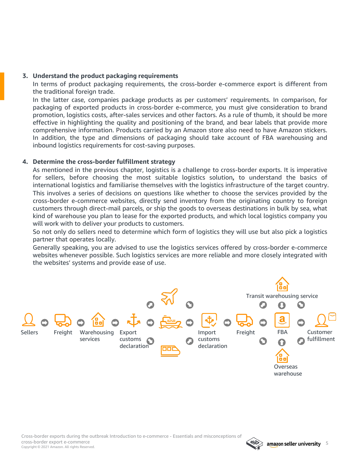#### **3. Understand the product packaging requirements**

In terms of product packaging requirements, the cross-border e-commerce export is different from the traditional foreign trade.

In the latter case, companies package products as per customers' requirements. In comparison, for packaging of exported products in cross-border e-commerce, you must give consideration to brand promotion, logistics costs, after-sales services and other factors. As a rule of thumb, it should be more effective in highlighting the quality and positioning of the brand, and bear labels that provide more comprehensive information. Products carried by an Amazon store also need to have Amazon stickers. In addition, the type and dimensions of packaging should take account of FBA warehousing and inbound logistics requirements for cost-saving purposes.

#### **4. Determine the cross-border fulfillment strategy**

As mentioned in the previous chapter, logistics is a challenge to cross-border exports. It is imperative for sellers, before choosing the most suitable logistics solution**,** to understand the basics of international logistics and familiarise themselves with the logistics infrastructure of the target country. This involves a series of decisions on questions like whether to choose the services provided by the cross-border e-commerce websites, directly send inventory from the originating country to foreign customers through direct-mail parcels, or ship the goods to overseas destinations in bulk by sea, what kind of warehouse you plan to lease for the exported products, and which local logistics company you will work with to deliver your products to customers.

So not only do sellers need to determine which form of logistics they will use but also pick a logistics partner that operates locally.

Generally speaking, you are advised to use the logistics services offered by cross-border e-commerce websites whenever possible. Such logistics services are more reliable and more closely integrated with the websites' systems and provide ease of use.



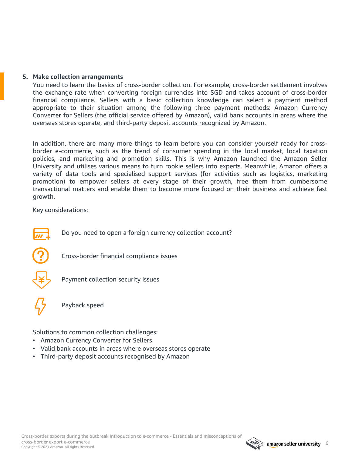#### **5. Make collection arrangements**

You need to learn the basics of cross-border collection. For example, cross-border settlement involves the exchange rate when converting foreign currencies into SGD and takes account of cross-border financial compliance. Sellers with a basic collection knowledge can select a payment method appropriate to their situation among the following three payment methods: Amazon Currency Converter for Sellers (the official service offered by Amazon), valid bank accounts in areas where the overseas stores operate, and third-party deposit accounts recognized by Amazon.

In addition, there are many more things to learn before you can consider yourself ready for crossborder e-commerce, such as the trend of consumer spending in the local market, local taxation policies, and marketing and promotion skills. This is why Amazon launched the Amazon Seller University and utilises various means to turn rookie sellers into experts. Meanwhile, Amazon offers a variety of data tools and specialised support services (for activities such as logistics, marketing promotion) to empower sellers at every stage of their growth, free them from cumbersome transactional matters and enable them to become more focused on their business and achieve fast growth.

Key considerations:



Do you need to open a foreign currency collection account?



Cross-border financial compliance issues



Payment collection security issues



Payback speed

Solutions to common collection challenges:

- Amazon Currency Converter for Sellers
- Valid bank accounts in areas where overseas stores operate
- Third-party deposit accounts recognised by Amazon

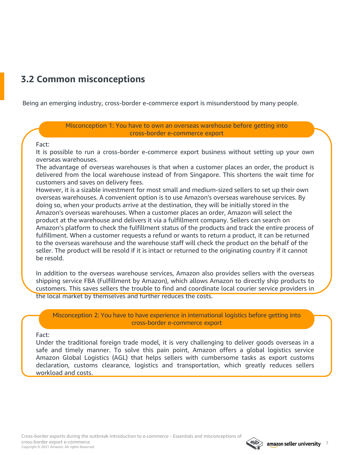### <span id="page-6-0"></span>**3.2 Common misconceptions**

Being an emerging industry, cross-border e-commerce export is misunderstood by many people.

Misconception 1: You have to own an overseas warehouse before getting into cross-border e-commerce export

#### Fact:

It is possible to run a cross-border e-commerce export business without setting up your own overseas warehouses.

The advantage of overseas warehouses is that when a customer places an order, the product is delivered from the local warehouse instead of from Singapore. This shortens the wait time for customers and saves on delivery fees.

However, it is a sizable investment for most small and medium-sized sellers to set up their own overseas warehouses. A convenient option is to use Amazon's overseas warehouse services. By doing so, when your products arrive at the destination, they will be initially stored in the Amazon's overseas warehouses. When a customer places an order, Amazon will select the product at the warehouse and delivers it via a fulfillment company. Sellers can search on Amazon's platform to check the fulfillment status of the products and track the entire process of fulfillment. When a customer requests a refund or wants to return a product, it can be returned to the overseas warehouse and the warehouse staff will check the product on the behalf of the seller. The product will be resold if it is intact or returned to the originating country if it cannot be resold.

In addition to the overseas warehouse services, Amazon also provides sellers with the overseas shipping service FBA (Fulfillment by Amazon), which allows Amazon to directly ship products to customers. This saves sellers the trouble to find and coordinate local courier service providers in the local market by themselves and further reduces the costs.

Misconception 2: You have to have experience in international logistics before getting into cross-border e-commerce export

#### Fact:

Under the traditional foreign trade model, it is very challenging to deliver goods overseas in a safe and timely manner. To solve this pain point, Amazon offers a global logistics service Amazon Global Logistics (AGL) that helps sellers with cumbersome tasks as export customs declaration, customs clearance, logistics and transportation, which greatly reduces sellers workload and costs.

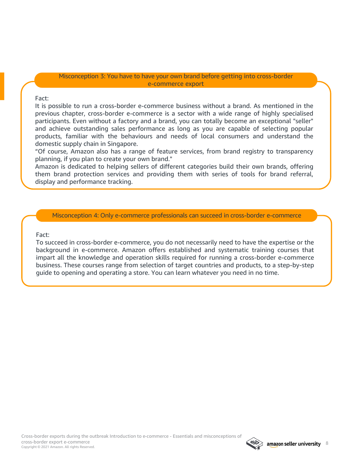#### Misconception 3: You have to have your own brand before getting into cross-border e-commerce export

#### Fact:

It is possible to run a cross-border e-commerce business without a brand. As mentioned in the previous chapter, cross-border e-commerce is a sector with a wide range of highly specialised participants. Even without a factory and a brand, you can totally become an exceptional "seller" and achieve outstanding sales performance as long as you are capable of selecting popular products, familiar with the behaviours and needs of local consumers and understand the domestic supply chain in Singapore.

"Of course, Amazon also has a range of feature services, from brand registry to transparency planning, if you plan to create your own brand."

Amazon is dedicated to helping sellers of different categories build their own brands, offering them brand protection services and providing them with series of tools for brand referral, display and performance tracking.

Misconception 4: Only e-commerce professionals can succeed in cross-border e-commerce

#### Fact:

To succeed in cross-border e-commerce, you do not necessarily need to have the expertise or the background in e-commerce. Amazon offers established and systematic training courses that impart all the knowledge and operation skills required for running a cross-border e-commerce business. These courses range from selection of target countries and products, to a step-by-step guide to opening and operating a store. You can learn whatever you need in no time.

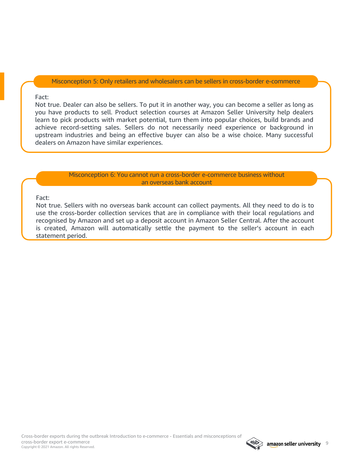Misconception 5: Only retailers and wholesalers can be sellers in cross-border e-commerce

#### Fact:

Not true. Dealer can also be sellers. To put it in another way, you can become a seller as long as you have products to sell. Product selection courses at Amazon Seller University help dealers learn to pick products with market potential, turn them into popular choices, build brands and achieve record-setting sales. Sellers do not necessarily need experience or background in upstream industries and being an effective buyer can also be a wise choice. Many successful dealers on Amazon have similar experiences.

> Misconception 6: You cannot run a cross-border e-commerce business without an overseas bank account

#### Fact:

Not true. Sellers with no overseas bank account can collect payments. All they need to do is to use the cross-border collection services that are in compliance with their local regulations and recognised by Amazon and set up a deposit account in Amazon Seller Central. After the account is created, Amazon will automatically settle the payment to the seller's account in each statement period.

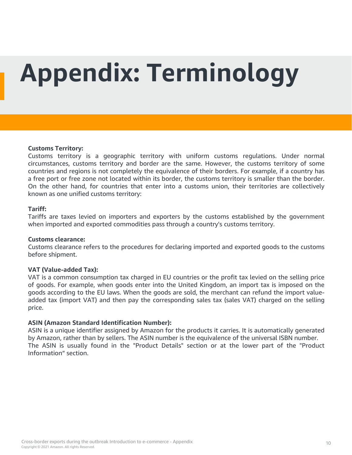# <span id="page-9-0"></span>**Appendix: Terminology**

#### **Customs Territory:**

Customs territory is a geographic territory with uniform customs regulations. Under normal circumstances, customs territory and border are the same. However, the customs territory of some countries and regions is not completely the equivalence of their borders. For example, if a country has a free port or free zone not located within its border, the customs territory is smaller than the border. On the other hand, for countries that enter into a customs union, their territories are collectively known as one unified customs territory:

#### **Tariff:**

Tariffs are taxes levied on importers and exporters by the customs established by the government when imported and exported commodities pass through a country's customs territory.

#### **Customs clearance:**

Customs clearance refers to the procedures for declaring imported and exported goods to the customs before shipment.

#### **VAT (Value-added Tax):**

VAT is a common consumption tax charged in EU countries or the profit tax levied on the selling price of goods. For example, when goods enter into the United Kingdom, an import tax is imposed on the goods according to the EU laws. When the goods are sold, the merchant can refund the import valueadded tax (import VAT) and then pay the corresponding sales tax (sales VAT) charged on the selling price.

#### **ASIN (Amazon Standard Identification Number):**

ASIN is a unique identifier assigned by Amazon for the products it carries. It is automatically generated by Amazon, rather than by sellers. The ASIN number is the equivalence of the universal ISBN number. The ASIN is usually found in the "Product Details" section or at the lower part of the "Product Information" section.